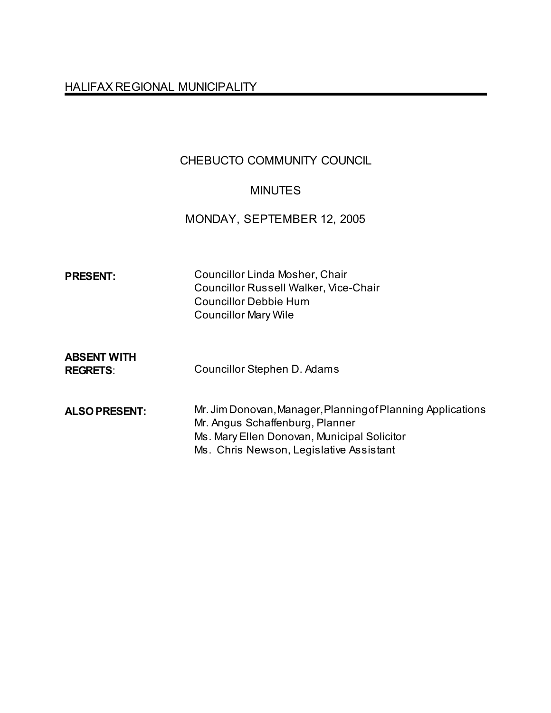# HALIFAX REGIONAL MUNICIPALITY

# CHEBUCTO COMMUNITY COUNCIL

# MINUTES

# MONDAY, SEPTEMBER 12, 2005

| <b>PRESENT:</b>                       | <b>Councillor Linda Mosher, Chair</b><br><b>Councillor Russell Walker, Vice-Chair</b><br><b>Councillor Debbie Hum</b><br><b>Councillor Mary Wile</b>                                     |
|---------------------------------------|------------------------------------------------------------------------------------------------------------------------------------------------------------------------------------------|
| <b>ABSENT WITH</b><br><b>REGRETS:</b> | Councillor Stephen D. Adams                                                                                                                                                              |
| <b>ALSO PRESENT:</b>                  | Mr. Jim Donovan, Manager, Planning of Planning Applications<br>Mr. Angus Schaffenburg, Planner<br>Ms. Mary Ellen Donovan, Municipal Solicitor<br>Ms. Chris Newson, Legislative Assistant |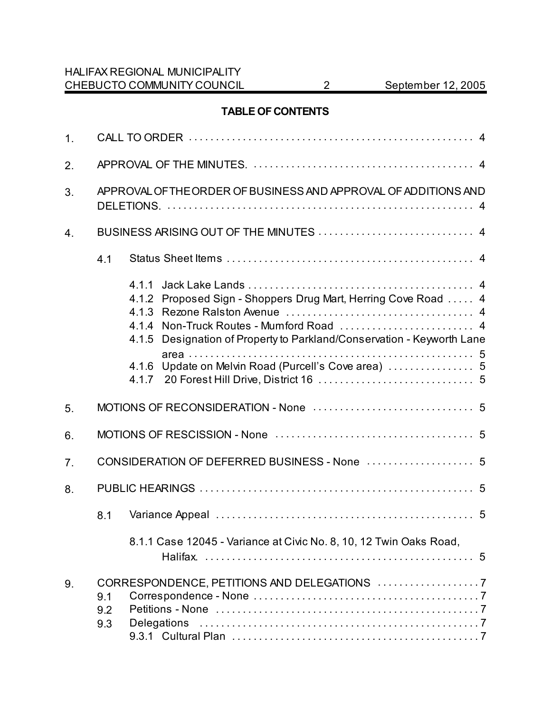### **TABLE OF CONTENTS**

| 1. |                                                                                    |  |
|----|------------------------------------------------------------------------------------|--|
| 2. |                                                                                    |  |
| 3. | APPROVAL OF THE ORDER OF BUSINESS AND APPROVAL OF ADDITIONS AND                    |  |
| 4. |                                                                                    |  |
|    | 4.1                                                                                |  |
|    | 4.1.1<br>Proposed Sign - Shoppers Drug Mart, Herring Cove Road  4<br>4.1.2         |  |
|    | 4.1.4<br>Designation of Property to Parkland/Conservation - Keyworth Lane<br>4.1.5 |  |
|    | 4.1.7                                                                              |  |
| 5. |                                                                                    |  |
| 6. |                                                                                    |  |
| 7. |                                                                                    |  |
| 8. |                                                                                    |  |
|    | 8.1                                                                                |  |
|    | 8.1.1 Case 12045 - Variance at Civic No. 8, 10, 12 Twin Oaks Road,                 |  |
| 9. | 9.1<br>9.2                                                                         |  |
|    | <b>Delegations</b><br>9.3                                                          |  |
|    |                                                                                    |  |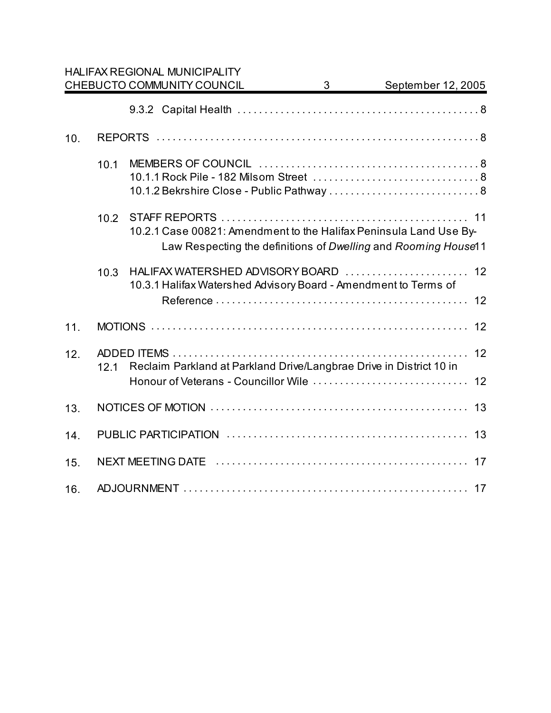|     |      | <b>HALIFAX REGIONAL MUNICIPALITY</b>                                                                                                 |                         |                    |
|-----|------|--------------------------------------------------------------------------------------------------------------------------------------|-------------------------|--------------------|
|     |      | CHEBUCTO COMMUNITY COUNCIL                                                                                                           | $\overline{\mathbf{3}}$ | September 12, 2005 |
|     |      |                                                                                                                                      |                         |                    |
| 10. |      |                                                                                                                                      |                         |                    |
|     | 10.1 | 10.1.2 Bekrshire Close - Public Pathway  8                                                                                           |                         |                    |
|     | 10.2 | 10.2.1 Case 00821: Amendment to the Halifax Peninsula Land Use By-<br>Law Respecting the definitions of Dwelling and Rooming House11 |                         |                    |
|     | 10.3 | HALIFAX WATERSHED ADVISORY BOARD  12<br>10.3.1 Halifax Watershed Advisory Board - Amendment to Terms of                              |                         |                    |
| 11. |      |                                                                                                                                      |                         |                    |
| 12. | 12.1 | Reclaim Parkland at Parkland Drive/Langbrae Drive in District 10 in                                                                  |                         |                    |
| 13. |      |                                                                                                                                      |                         |                    |
| 14. |      |                                                                                                                                      |                         |                    |
| 15. |      |                                                                                                                                      |                         |                    |
| 16. |      |                                                                                                                                      |                         |                    |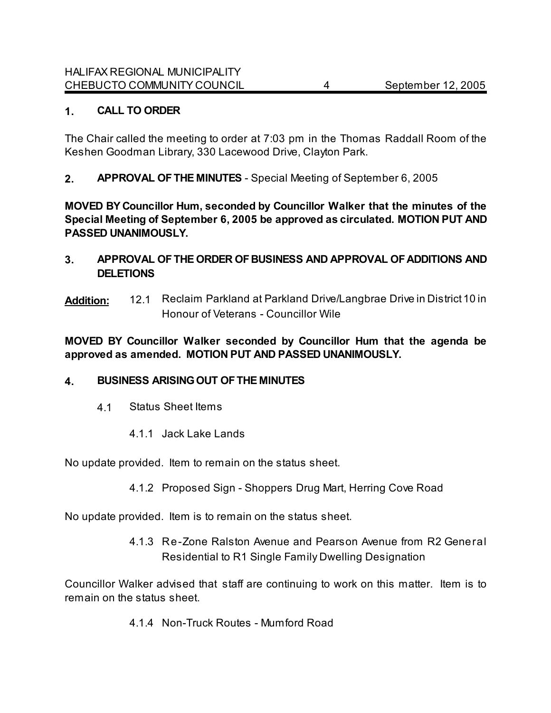### **1. CALL TO ORDER**

The Chair called the meeting to order at 7:03 pm in the Thomas Raddall Room of the Keshen Goodman Library, 330 Lacewood Drive, Clayton Park.

**2. APPROVAL OF THE MINUTES** - Special Meeting of September 6, 2005

**MOVED BY Councillor Hum, seconded by Councillor Walker that the minutes of the Special Meeting of September 6, 2005 be approved as circulated. MOTION PUT AND PASSED UNANIMOUSLY.** 

- **3. APPROVAL OF THE ORDER OF BUSINESS AND APPROVAL OF ADDITIONS AND DELETIONS**
- **Addition:** 12.1 Reclaim Parkland at Parkland Drive/Langbrae Drive in District 10 in Honour of Veterans - Councillor Wile

**MOVED BY Councillor Walker seconded by Councillor Hum that the agenda be approved as amended. MOTION PUT AND PASSED UNANIMOUSLY.**

### **4. BUSINESS ARISING OUT OF THE MINUTES**

- 4.1 Status Sheet Items
	- 4.1.1 Jack Lake Lands

No update provided. Item to remain on the status sheet.

4.1.2 Proposed Sign - Shoppers Drug Mart, Herring Cove Road

No update provided.Item is to remain on the status sheet.

4.1.3 Re-Zone Ralston Avenue and Pearson Avenue from R2 General Residential to R1 Single Family Dwelling Designation

Councillor Walker advised that staff are continuing to work on this matter. Item is to remain on the status sheet.

4.1.4 Non-Truck Routes - Mumford Road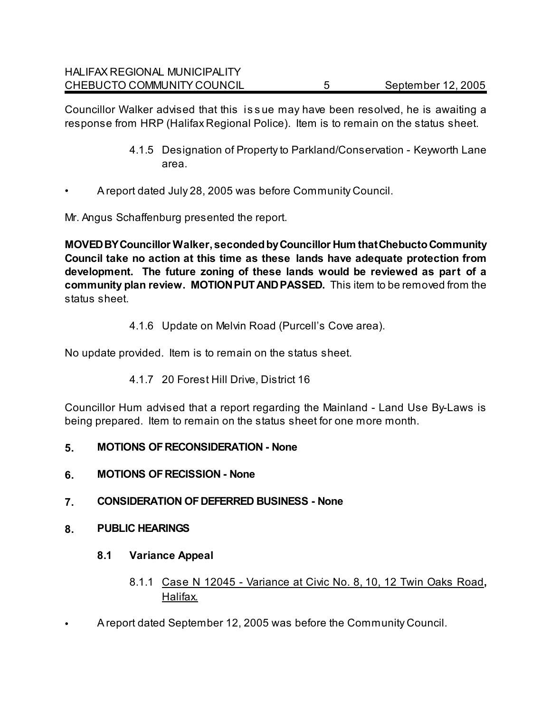Councillor Walker advised that this is s ue may have been resolved, he is awaiting a response from HRP (Halifax Regional Police).Item is to remain on the status sheet.

- 4.1.5 Designation of Property to Parkland/Conservation Keyworth Lane area.
- A report dated July 28, 2005 was before Community Council.

Mr. Angus Schaffenburg presented the report.

**MOVED BY Councillor Walker, seconded by Councillor Hum that Chebucto Community Council take no action at this time as these lands have adequate protection from development. The future zoning of these lands would be reviewed as part of a community plan review. MOTION PUT AND PASSED.** This item to be removed from the status sheet.

### 4.1.6 Update on Melvin Road (Purcell's Cove area).

No update provided.Item is to remain on the status sheet.

4.1.7 20 Forest Hill Drive, District 16

Councillor Hum advised that a report regarding the Mainland - Land Use By-Laws is being prepared. Item to remain on the status sheet for one more month.

- **5. MOTIONS OF RECONSIDERATION None**
- **6. MOTIONS OF RECISSION None**
- **7. CONSIDERATION OF DEFERRED BUSINESS None**
- **8. PUBLIC HEARINGS**
	- **8.1 Variance Appeal**
		- 8.1.1 Case N 12045 Variance at Civic No. 8, 10, 12 Twin Oaks Road**,** Halifax.
- A report dated September 12, 2005 was before the Community Council.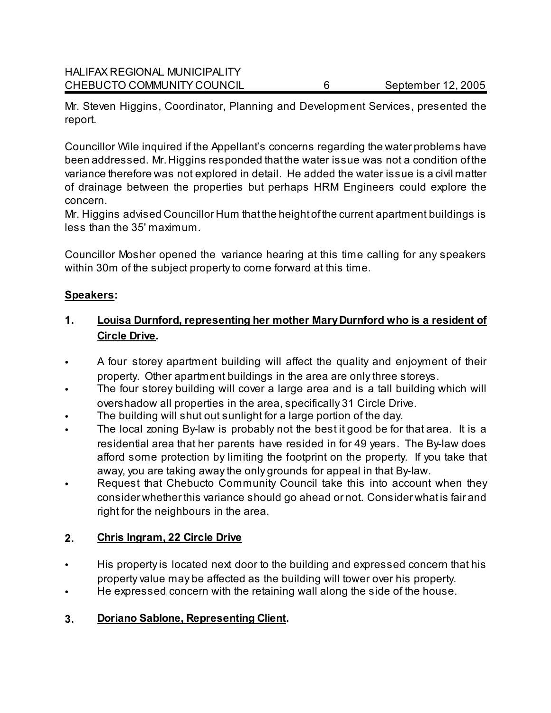Mr. Steven Higgins, Coordinator, Planning and Development Services, presented the report.

Councillor Wile inquired if the Appellant's concerns regarding the water problems have been addressed. Mr. Higgins responded that the water issue was not a condition of the variance therefore was not explored in detail. He added the water issue is a civil matter of drainage between the properties but perhaps HRM Engineers could explore the concern.

Mr. Higgins advised Councillor Hum that the height of the current apartment buildings is less than the 35' maximum.

Councillor Mosher opened the variance hearing at this time calling for any speakers within 30m of the subject property to come forward at this time.

### **Speakers:**

# **1. Louisa Durnford, representing her mother Mary Durnford who is a resident of Circle Drive.**

- A four storey apartment building will affect the quality and enjoyment of their property. Other apartment buildings in the area are only three storeys.
- The four storey building will cover a large area and is a tall building which will overshadow all properties in the area, specifically 31 Circle Drive.
- The building will shut out sunlight for a large portion of the day.
- The local zoning By-law is probably not the best it good be for that area. It is a residential area that her parents have resided in for 49 years. The By-law does afford some protection by limiting the footprint on the property. If you take that away, you are taking away the only grounds for appeal in that By-law.
- Request that Chebucto Community Council take this into account when they consider whether this variance should go ahead or not. Consider what is fair and right for the neighbours in the area.

# **2. Chris Ingram, 22 Circle Drive**

- His property is located next door to the building and expressed concern that his property value may be affected as the building will tower over his property.
- He expressed concern with the retaining wall along the side of the house.
- **3. Doriano Sablone, Representing Client.**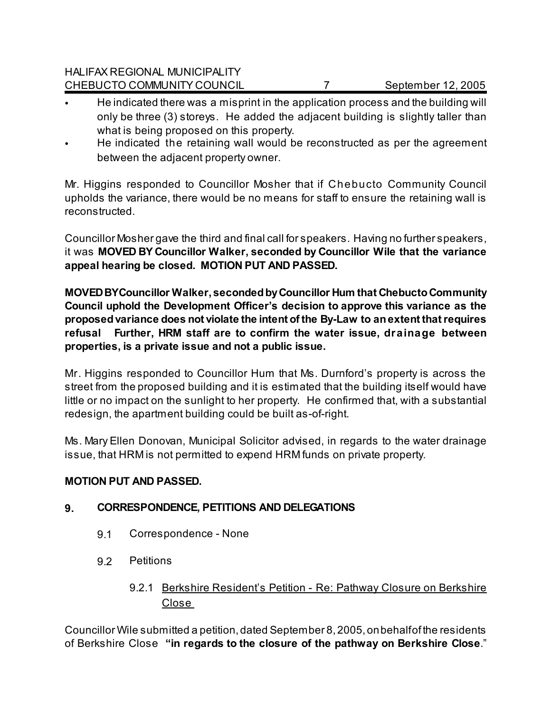HALIFAX REGIONAL MUNICIPALITY CHEBUCTO COMMUNITY COUNCIL 7 September 12, 2005

- He indicated there was a misprint in the application process and the building will only be three (3) storeys. He added the adjacent building is slightly taller than what is being proposed on this property.
- He indicated the retaining wall would be reconstructed as per the agreement between the adjacent property owner.

Mr. Higgins responded to Councillor Mosher that if Chebucto Community Council upholds the variance, there would be no means for staff to ensure the retaining wall is reconstructed.

Councillor Mosher gave the third and final call for speakers. Having no further speakers, it was **MOVED BY Councillor Walker, seconded by Councillor Wile that the variance appeal hearing be closed. MOTION PUT AND PASSED.**

**MOVED BY Councillor Walker, seconded by Councillor Hum that Chebucto Community Council uphold the Development Officer's decision to approve this variance as the proposed variance does not violate the intent of the By-Law to an extent that requires refusal Further, HRM staff are to confirm the water issue, drainage between properties, is a private issue and not a public issue.** 

Mr. Higgins responded to Councillor Hum that Ms. Durnford's property is across the street from the proposed building and it is estimated that the building itself would have little or no impact on the sunlight to her property. He confirmed that, with a substantial redesign, the apartment building could be built as-of-right.

Ms. Mary Ellen Donovan, Municipal Solicitor advised, in regards to the water drainage issue, that HRM is not permitted to expend HRM funds on private property.

### **MOTION PUT AND PASSED.**

### **9. CORRESPONDENCE, PETITIONS AND DELEGATIONS**

- 9.1 Correspondence None
- 9.2 Petitions
	- 9.2.1 Berkshire Resident's Petition Re: Pathway Closure on Berkshire Close

Councillor Wile submitted a petition, dated September 8, 2005, on behalf of the residents of Berkshire Close **"in regards to the closure of the pathway on Berkshire Close**."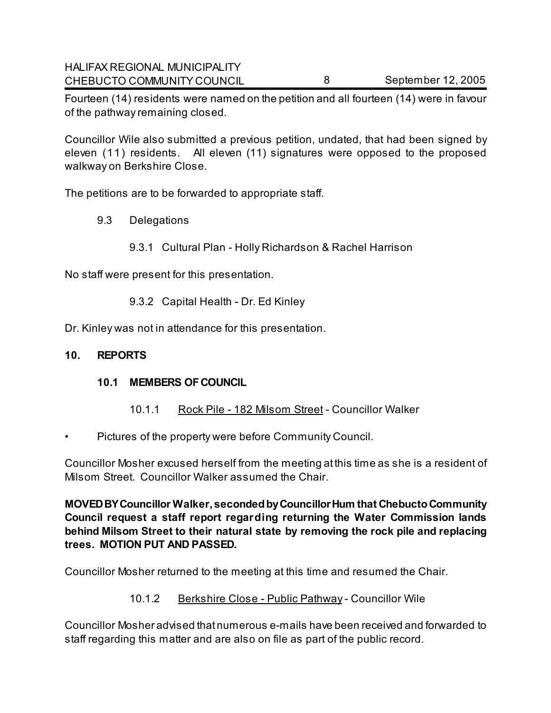Fourteen (14) residents were named on the petition and all fourteen (14) were in favour of the pathway remaining closed.

Councillor Wile also submitted a previous petition, undated, that had been signed by eleven (11) residents. All eleven (11) signatures were opposed to the proposed walkway on Berkshire Close.

The petitions are to be forwarded to appropriate staff.

- 9.3 Delegations
	- 9.3.1 Cultural Plan Holly Richardson & Rachel Harrison

No staff were present for this presentation.

9.3.2 Capital Health - Dr. Ed Kinley

Dr. Kinley was not in attendance for this presentation.

### **10. REPORTS**

### **10.1 MEMBERS OF COUNCIL**

- 10.1.1 Rock Pile 182 Milsom Street Councillor Walker
- Pictures of the property were before Community Council.

Councillor Mosher excused herself from the meeting at this time as she is a resident of Milsom Street.Councillor Walker assumed the Chair.

**MOVED BY Councillor Walker, seconded by Councillor Hum that Chebucto Community Council request a staff report regarding returning the Water Commission lands behind Milsom Street to their natural state by removing the rock pile and replacing trees. MOTION PUT AND PASSED.** 

Councillor Mosher returned to the meeting at this time and resumed the Chair.

# 10.1.2 Berkshire Close - Public Pathway - Councillor Wile

Councillor Mosher advised that numerous e-mails have been received and forwarded to staff regarding this matter and are also on file as part of the public record.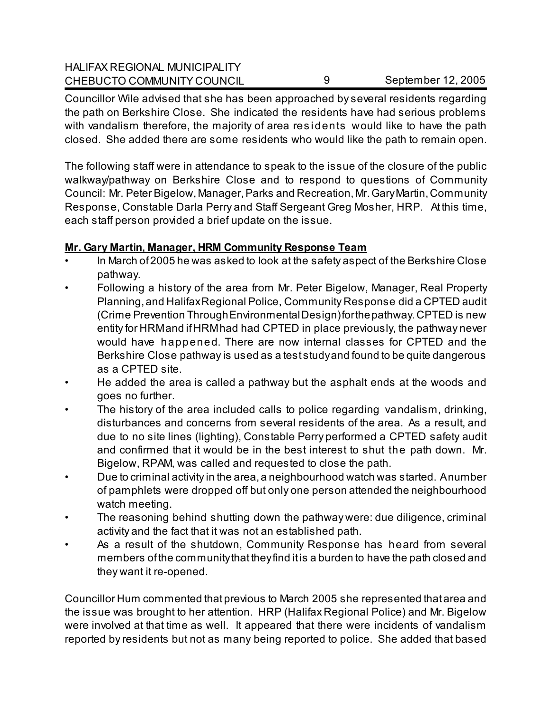| <b>HALIFAX REGIONAL MUNICIPALITY</b> |                    |
|--------------------------------------|--------------------|
| CHEBUCTO COMMUNITY COUNCIL           | September 12, 2005 |

Councillor Wile advised that she has been approached by several residents regarding the path on Berkshire Close. She indicated the residents have had serious problems with vandalism therefore, the majority of area res idents would like to have the path closed. She added there are some residents who would like the path to remain open.

The following staff were in attendance to speak to the issue of the closure of the public walkway/pathway on Berkshire Close and to respond to questions of Community Council: Mr. Peter Bigelow, Manager, Parks and Recreation, Mr. Gary Martin, Community Response, Constable Darla Perry and Staff Sergeant Greg Mosher, HRP. At this time, each staff person provided a brief update on the issue.

### **Mr. Gary Martin, Manager, HRM Community Response Team**

- In March of 2005 he was asked to look at the safety aspect of the Berkshire Close pathway.
- Following a history of the area from Mr. Peter Bigelow, Manager, Real Property Planning, and Halifax Regional Police, Community Response did a CPTED audit (Crime Prevention Through Environmental Design) for the pathway. CPTED is new entity for HRM and if HRM had had CPTED in place previously, the pathway never would have happened. There are now internal classes for CPTED and the Berkshire Close pathway is used as a test study and found to be quite dangerous as a CPTED site.
- He added the area is called a pathway but the asphalt ends at the woods and goes no further.
- The history of the area included calls to police regarding vandalism, drinking, disturbances and concerns from several residents of the area. As a result, and due to no site lines (lighting), Constable Perry performed a CPTED safety audit and confirmed that it would be in the best interest to shut the path down. Mr. Bigelow, RPAM, was called and requested to close the path.
- Due to criminal activity in the area, a neighbourhood watch was started. A number of pamphlets were dropped off but only one person attended the neighbourhood watch meeting.
- The reasoning behind shutting down the pathway were: due diligence, criminal activity and the fact that it was not an established path.
- As a result of the shutdown, Community Response has heard from several members of the community that they find it is a burden to have the path closed and they want it re-opened.

Councillor Hum commented that previous to March 2005 she represented that area and the issue was brought to her attention. HRP (Halifax Regional Police) and Mr. Bigelow were involved at that time as well. It appeared that there were incidents of vandalism reported by residents but not as many being reported to police. She added that based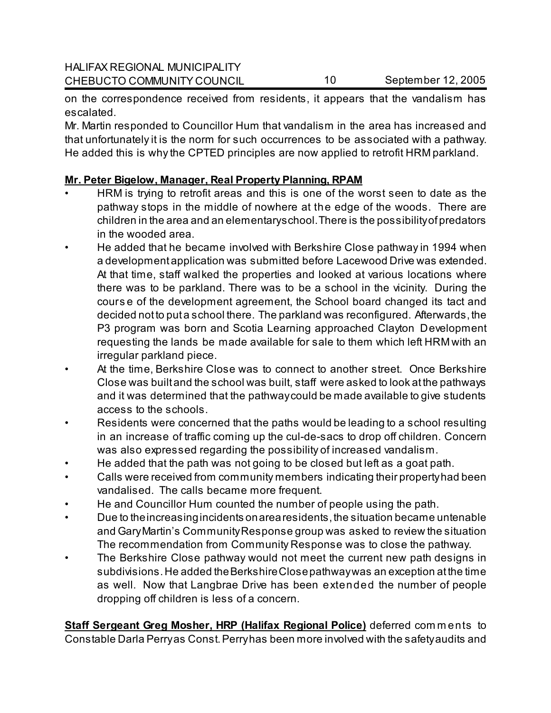on the correspondence received from residents, it appears that the vandalism has escalated.

Mr. Martin responded to Councillor Hum that vandalism in the area has increased and that unfortunately it is the norm for such occurrences to be associated with a pathway. He added this is why the CPTED principles are now applied to retrofit HRM parkland.

### **Mr. Peter Bigelow, Manager, Real Property Planning, RPAM**

- HRM is trying to retrofit areas and this is one of the worst seen to date as the pathway stops in the middle of nowhere at the edge of the woods. There are children in the area and an elementary school. There is the possibility of predators in the wooded area.
- He added that he became involved with Berkshire Close pathway in 1994 when a development application was submitted before Lacewood Drive was extended. At that time, staff walked the properties and looked at various locations where there was to be parkland. There was to be a school in the vicinity. During the cours e of the development agreement, the School board changed its tact and decided not to put a school there. The parkland was reconfigured. Afterwards, the P3 program was born and Scotia Learning approached Clayton Development requesting the lands be made available for sale to them which left HRM with an irregular parkland piece.
- At the time, Berkshire Close was to connect to another street. Once Berkshire Close was built and the school was built, staff were asked to look at the pathways and it was determined that the pathway could be made available to give students access to the schools.
- Residents were concerned that the paths would be leading to a school resulting in an increase of traffic coming up the cul-de-sacs to drop off children. Concern was also expressed regarding the possibility of increased vandalism.
- He added that the path was not going to be closed but left as a goat path.
- Calls were received from community members indicating their property had been vandalised. The calls became more frequent.
- He and Councillor Hum counted the number of people using the path.
- Due to the increasing incidents on area residents, the situation became untenable and Gary Martin's Community Response group was asked to review the situation The recommendation from Community Response was to close the pathway.
- The Berkshire Close pathway would not meet the current new path designs in subdivisions. He added the Berkshire Close pathway was an exception at the time as well. Now that Langbrae Drive has been extended the number of people dropping off children is less of a concern.

**Staff Sergeant Greg Mosher, HRP (Halifax Regional Police)** deferred com m ents to Constable Darla Perry as Const. Perry has been more involved with the safety audits and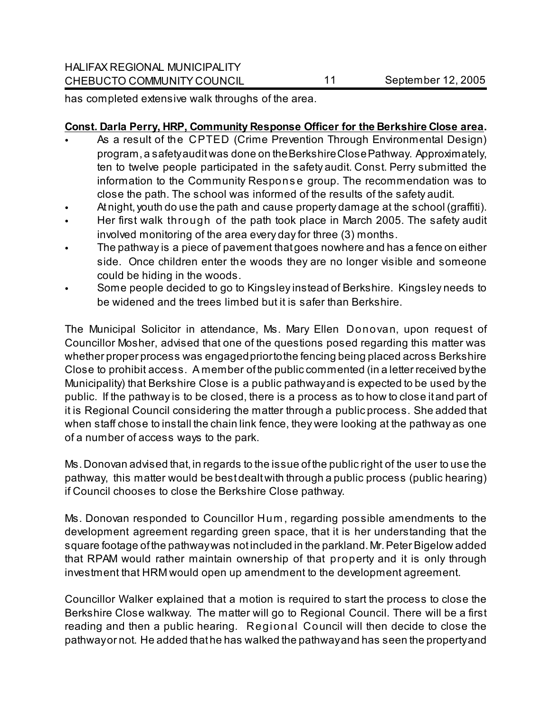has completed extensive walk throughs of the area.

### **Const. Darla Perry, HRP, Community Response Officer for the Berkshire Close area.**

- As a result of the CPTED (Crime Prevention Through Environmental Design) program, a safety audit was done on the Berkshire Close Pathway. Approximately, ten to twelve people participated in the safety audit. Const. Perry submitted the information to the Community Respons e group. The recommendation was to close the path. The school was informed of the results of the safety audit.
- At night, youth do use the path and cause property damage at the school (graffiti).
- Her first walk through of the path took place in March 2005. The safety audit involved monitoring of the area every day for three (3) months.
- The pathway is a piece of pavement that goes nowhere and has a fence on either side. Once children enter the woods they are no longer visible and someone could be hiding in the woods.
- Some people decided to go to Kingsley instead of Berkshire. Kingsley needs to be widened and the trees limbed but it is safer than Berkshire.

The Municipal Solicitor in attendance, Ms. Mary Ellen Donovan, upon request of Councillor Mosher, advised that one of the questions posed regarding this matter was whether proper process was engaged prior to the fencing being placed across Berkshire Close to prohibit access. A member of the public commented (in a letter received by the Municipality) that Berkshire Close is a public pathway and is expected to be used by the public. If the pathway is to be closed, there is a process as to how to close it and part of it is Regional Council considering the matter through a public process. She added that when staff chose to install the chain link fence, they were looking at the pathway as one of a number of access ways to the park.

Ms. Donovan advised that, in regards to the issue of the public right of the user to use the pathway, this matter would be best dealt with through a public process (public hearing) if Council chooses to close the Berkshire Close pathway.

Ms. Donovan responded to Councillor Hum , regarding possible amendments to the development agreement regarding green space, that it is her understanding that the square footage of the pathway was not included in the parkland. Mr. Peter Bigelow added that RPAM would rather maintain ownership of that property and it is only through investment that HRM would open up amendment to the development agreement.

Councillor Walker explained that a motion is required to start the process to close the Berkshire Close walkway. The matter will go to Regional Council. There will be a first reading and then a public hearing. Regional Council will then decide to close the pathway or not. He added that he has walked the pathway and has seen the property and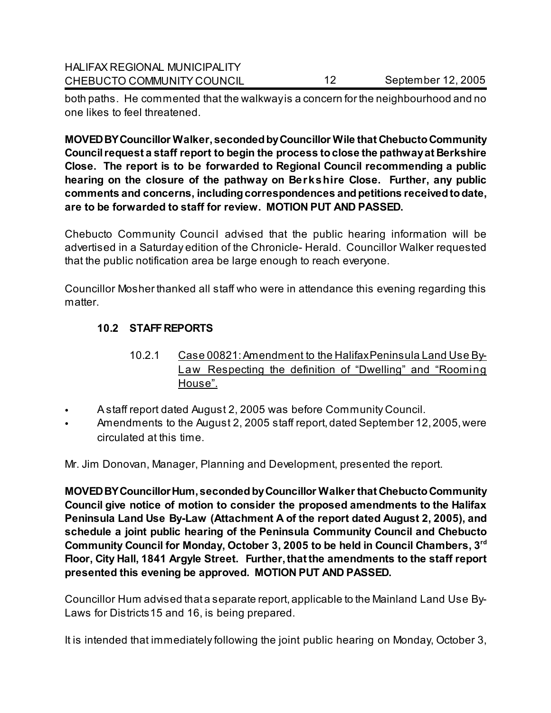both paths. He commented that the walkway is a concern for the neighbourhood and no one likes to feel threatened.

**MOVED BY Councillor Walker, seconded by Councillor Wile that Chebucto Community Council request a staff report to begin the process to close the pathway at Berkshire Close. The report is to be forwarded to Regional Council recommending a public hearing on the closure of the pathway on Berkshire Close. Further, any public comments and concerns, including correspondences and petitions received to date, are to be forwarded to staff for review. MOTION PUT AND PASSED.** 

Chebucto Community Council advised that the public hearing information will be advertised in a Saturday edition of the Chronicle- Herald. Councillor Walker requested that the public notification area be large enough to reach everyone.

Councillor Mosher thanked all staff who were in attendance this evening regarding this matter.

# **10.2 STAFF REPORTS**

- 10.2.1 Case 00821: Amendment to the Halifax Peninsula Land Use By-Law Respecting the definition of "Dwelling" and "Rooming House".
- A staff report dated August 2, 2005 was before Community Council.
- Amendments to the August 2, 2005 staff report, dated September 12, 2005, were circulated at this time.

Mr. Jim Donovan, Manager, Planning and Development, presented the report.

**MOVED BY Councillor Hum, seconded by Councillor Walker that Chebucto Community Council give notice of motion to consider the proposed amendments to the Halifax Peninsula Land Use By-Law (Attachment A of the report dated August 2, 2005), and schedule a joint public hearing of the Peninsula Community Council and Chebucto Community Council for Monday, October 3, 2005 to be held in Council Chambers, 3rd Floor, City Hall, 1841 Argyle Street. Further, that the amendments to the staff report presented this evening be approved. MOTION PUT AND PASSED.** 

Councillor Hum advised that a separate report, applicable to the Mainland Land Use By-Laws for Districts15 and 16, is being prepared.

It is intended that immediately following the joint public hearing on Monday, October 3,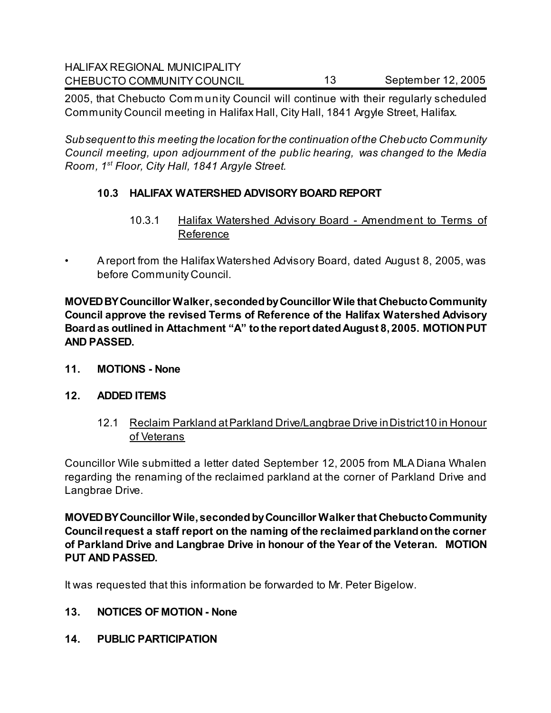2005, that Chebucto Com m unity Council will continue with their regularly scheduled Community Council meeting in Halifax Hall, City Hall, 1841 Argyle Street, Halifax.

*Subsequent to this meeting the location for the continuation of the Chebucto Community Council meeting, upon adjournment of the public hearing, was changed to the Media Room, 1st Floor, City Hall, 1841 Argyle Street.* 

# **10.3 HALIFAX WATERSHED ADVISORY BOARD REPORT**

- 10.3.1 Halifax Watershed Advisory Board Amendment to Terms of Reference
- A report from the Halifax Watershed Advisory Board, dated August 8, 2005, was before Community Council.

**MOVED BY Councillor Walker, seconded by Councillor Wile that Chebucto Community Council approve the revised Terms of Reference of the Halifax Watershed Advisory Board as outlined in Attachment "A" to the report dated August 8, 2005. MOTION PUT AND PASSED.** 

**11. MOTIONS - None**

### **12. ADDED ITEMS**

12.1 Reclaim Parkland at Parkland Drive/Langbrae Drive in District 10 in Honour of Veterans

Councillor Wile submitted a letter dated September 12, 2005 from MLA Diana Whalen regarding the renaming of the reclaimed parkland at the corner of Parkland Drive and Langbrae Drive.

**MOVED BY Councillor Wile, seconded by Councillor Walker that Chebucto Community Council request a staff report on the naming of the reclaimed parkland on the corner of Parkland Drive and Langbrae Drive in honour of the Year of the Veteran. MOTION PUT AND PASSED.** 

It was requested that this information be forwarded to Mr. Peter Bigelow.

- **13. NOTICES OF MOTION None**
- **14. PUBLIC PARTICIPATION**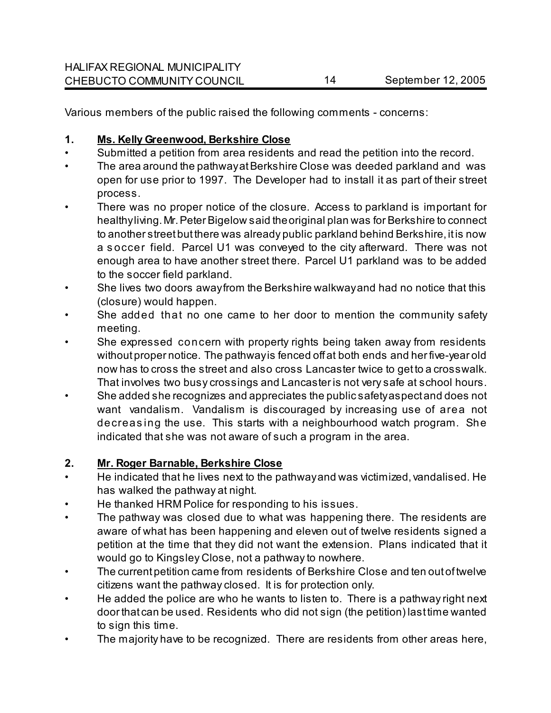Various members of the public raised the following comments - concerns:

### **1. Ms. Kelly Greenwood, Berkshire Close**

- Submitted a petition from area residents and read the petition into the record.
- The area around the pathway at Berkshire Close was deeded parkland and was open for use prior to 1997. The Developer had to install it as part of their street process.
- There was no proper notice of the closure. Access to parkland is important for healthy living. Mr. Peter Bigelow said the original plan was for Berkshire to connect to another street but there was already public parkland behind Berkshire, it is now a s occer field. Parcel U1 was conveyed to the city afterward. There was not enough area to have another street there. Parcel U1 parkland was to be added to the soccer field parkland.
- She lives two doors away from the Berkshire walkway and had no notice that this (closure) would happen.
- She added that no one came to her door to mention the community safety meeting.
- She expressed concern with property rights being taken away from residents without proper notice. The pathway is fenced off at both ends and her five-year old now has to cross the street and also cross Lancaster twice to get to a crosswalk. That involves two busy crossings and Lancaster is not very safe at school hours.
- She added she recognizes and appreciates the public safety aspect and does not want vandalism. Vandalism is discouraged by increasing use of area not decreas ing the use. This starts with a neighbourhood watch program. She indicated that she was not aware of such a program in the area.

# **2. Mr. Roger Barnable, Berkshire Close**

- He indicated that he lives next to the pathway and was victimized, vandalised. He has walked the pathway at night.
- He thanked HRM Police for responding to his issues.
- The pathway was closed due to what was happening there. The residents are aware of what has been happening and eleven out of twelve residents signed a petition at the time that they did not want the extension. Plans indicated that it would go to Kingsley Close, not a pathway to nowhere.
- The current petition came from residents of Berkshire Close and ten out of twelve citizens want the pathway closed. It is for protection only.
- He added the police are who he wants to listen to. There is a pathway right next door that can be used. Residents who did not sign (the petition) last time wanted to sign this time.
- The majority have to be recognized. There are residents from other areas here,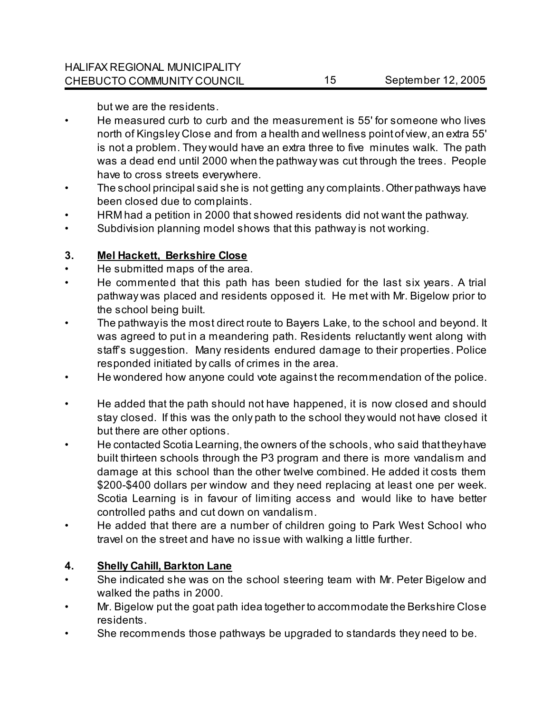but we are the residents.

- He measured curb to curb and the measurement is 55' for someone who lives north of Kingsley Close and from a health and wellness point of view, an extra 55' is not a problem. They would have an extra three to five minutes walk. The path was a dead end until 2000 when the pathway was cut through the trees. People have to cross streets everywhere.
- The school principal said she is not getting any complaints. Other pathways have been closed due to complaints.
- HRM had a petition in 2000 that showed residents did not want the pathway.
- Subdivision planning model shows that this pathway is not working.

### **3. Mel Hackett, Berkshire Close**

- He submitted maps of the area.
- He commented that this path has been studied for the last six years. A trial pathway was placed and residents opposed it. He met with Mr. Bigelow prior to the school being built.
- The pathway is the most direct route to Bayers Lake, to the school and beyond. It was agreed to put in a meandering path. Residents reluctantly went along with staff's suggestion. Many residents endured damage to their properties. Police responded initiated by calls of crimes in the area.
- He wondered how anyone could vote against the recommendation of the police.
- He added that the path should not have happened, it is now closed and should stay closed. If this was the only path to the school they would not have closed it but there are other options.
- He contacted Scotia Learning, the owners of the schools, who said that they have built thirteen schools through the P3 program and there is more vandalism and damage at this school than the other twelve combined. He added it costs them \$200-\$400 dollars per window and they need replacing at least one per week. Scotia Learning is in favour of limiting access and would like to have better controlled paths and cut down on vandalism.
- He added that there are a number of children going to Park West School who travel on the street and have no issue with walking a little further.

# **4. Shelly Cahill, Barkton Lane**

- She indicated she was on the school steering team with Mr. Peter Bigelow and walked the paths in 2000.
- Mr. Bigelow put the goat path idea together to accommodate the Berkshire Close residents.
- She recommends those pathways be upgraded to standards they need to be.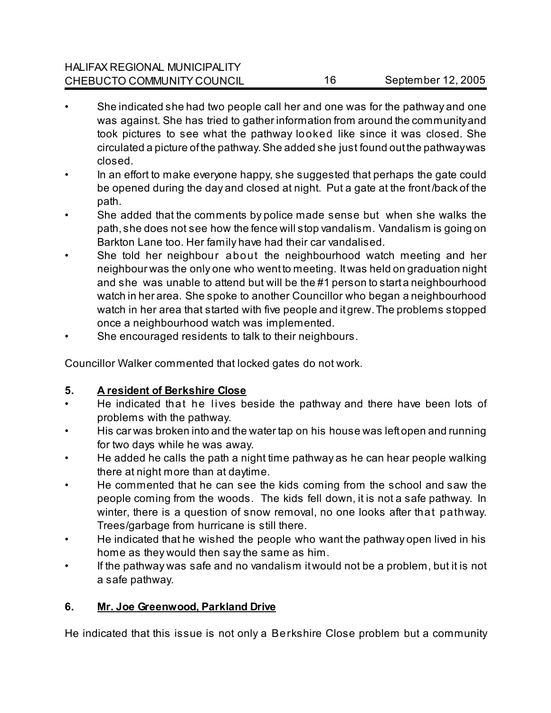- She indicated she had two people call her and one was for the pathway and one was against. She has tried to gather information from around the community and took pictures to see what the pathway looked like since it was closed. She circulated a picture of the pathway. She added she just found out the pathway was closed.
- In an effort to make everyone happy, she suggested that perhaps the gate could be opened during the day and closed at night. Put a gate at the front /back of the path.
- She added that the comments by police made sense but when she walks the path, she does not see how the fence will stop vandalism. Vandalism is going on Barkton Lane too. Her family have had their car vandalised.
- She told her neighbour about the neighbourhood watch meeting and her neighbour was the only one who went to meeting. It was held on graduation night and she was unable to attend but will be the #1 person to start a neighbourhood watch in her area. She spoke to another Councillor who began a neighbourhood watch in her area that started with five people and it grew. The problems stopped once a neighbourhood watch was implemented.
- She encouraged residents to talk to their neighbours.

Councillor Walker commented that locked gates do not work.

# **5. A resident of Berkshire Close**

- He indicated that he lives beside the pathway and there have been lots of problems with the pathway.
- His car was broken into and the water tap on his house was left open and running for two days while he was away.
- He added he calls the path a night time pathway as he can hear people walking there at night more than at daytime.
- He commented that he can see the kids coming from the school and saw the people coming from the woods. The kids fell down, it is not a safe pathway. In winter, there is a question of snow removal, no one looks after that pathway. Trees/garbage from hurricane is still there.
- He indicated that he wished the people who want the pathway open lived in his home as they would then say the same as him.
- If the pathway was safe and no vandalism it would not be a problem, but it is not a safe pathway.

# **6. Mr. Joe Greenwood, Parkland Drive**

He indicated that this issue is not only a Berkshire Close problem but a community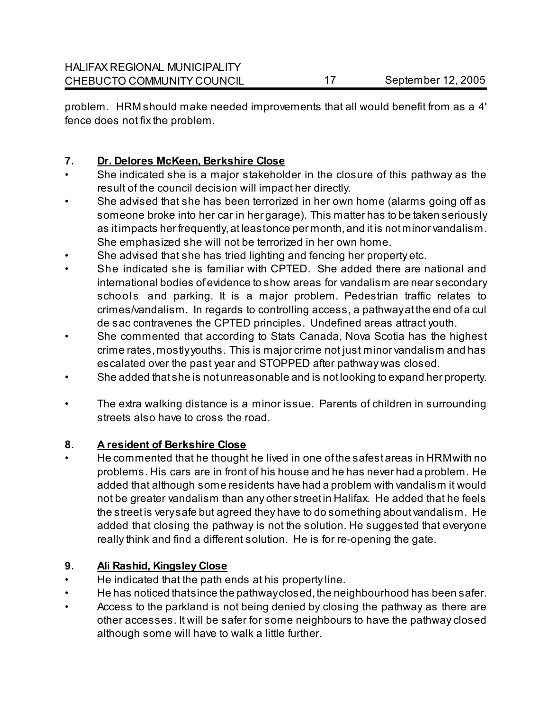problem. HRM should make needed improvements that all would benefit from as a 4' fence does not fix the problem.

### **7. Dr. Delores McKeen, Berkshire Close**

- She indicated she is a major stakeholder in the closure of this pathway as the result of the council decision will impact her directly.
- She advised that she has been terrorized in her own home (alarms going off as someone broke into her car in her garage). This matter has to be taken seriously as it impacts her frequently, at leastonce per month, and it is not minor vandalism. She emphasized she will not be terrorized in her own home.
- She advised that she has tried lighting and fencing her property etc.
- She indicated she is familiar with CPTED. She added there are national and international bodies of evidence to show areas for vandalism are near secondary schools and parking. It is a major problem. Pedestrian traffic relates to crimes/vandalism. In regards to controlling access, a pathway at the end of a cul de sac contravenes the CPTED principles. Undefined areas attract youth.
- She commented that according to Stats Canada, Nova Scotia has the highest crime rates, mostly youths. This is major crime not just minor vandalism and has escalated over the past year and STOPPED after pathway was closed.
- She added that she is not unreasonable and is not looking to expand her property.
- The extra walking distance is a minor issue. Parents of children in surrounding streets also have to cross the road.

### **8. A resident of Berkshire Close**

• He commented that he thought he lived in one of the safest areas in HRM with no problems. His cars are in front of his house and he has never had a problem. He added that although some residents have had a problem with vandalism it would not be greater vandalism than any other street in Halifax. He added that he feels the street is very safe but agreed they have to do something about vandalism. He added that closing the pathway is not the solution. He suggested that everyone really think and find a different solution. He is for re-opening the gate.

# **9. Ali Rashid, Kingsley Close**

- He indicated that the path ends at his property line.
- He has noticed that since the pathway closed, the neighbourhood has been safer.
- Access to the parkland is not being denied by closing the pathway as there are other accesses. It will be safer for some neighbours to have the pathway closed although some will have to walk a little further.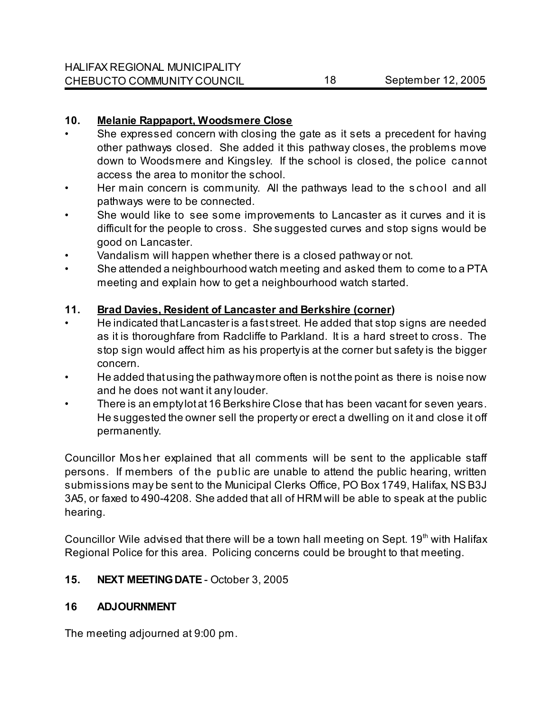### **10. Melanie Rappaport, Woodsmere Close**

- She expressed concern with closing the gate as it sets a precedent for having other pathways closed. She added it this pathway closes, the problems move down to Woodsmere and Kingsley. If the school is closed, the police cannot access the area to monitor the school.
- Her main concern is community. All the pathways lead to the s chool and all pathways were to be connected.
- She would like to see some improvements to Lancaster as it curves and it is difficult for the people to cross. She suggested curves and stop signs would be good on Lancaster.
- Vandalism will happen whether there is a closed pathway or not.
- She attended a neighbourhood watch meeting and asked them to come to a PTA meeting and explain how to get a neighbourhood watch started.

# **11. Brad Davies, Resident of Lancaster and Berkshire (corner)**

- He indicated that Lancaster is a fast street. He added that stop signs are needed as it is thoroughfare from Radcliffe to Parkland. It is a hard street to cross. The stop sign would affect him as his property is at the corner but safety is the bigger concern.
- He added that using the pathway more often is not the point as there is noise now and he does not want it any louder.
- There is an empty lot at 16 Berkshire Close that has been vacant for seven years. He suggested the owner sell the property or erect a dwelling on it and close it off permanently.

Councillor Mos her explained that all comments will be sent to the applicable staff persons. If members of the public are unable to attend the public hearing, written submissions may be sent to the Municipal Clerks Office, PO Box 1749, Halifax, NS B3J 3A5, or faxed to 490-4208. She added that all of HRM will be able to speak at the public hearing.

Councillor Wile advised that there will be a town hall meeting on Sept.  $19<sup>th</sup>$  with Halifax Regional Police for this area. Policing concerns could be brought to that meeting.

# **15. NEXT MEETING DATE** - October 3, 2005

# **16 ADJOURNMENT**

The meeting adjourned at 9:00 pm.